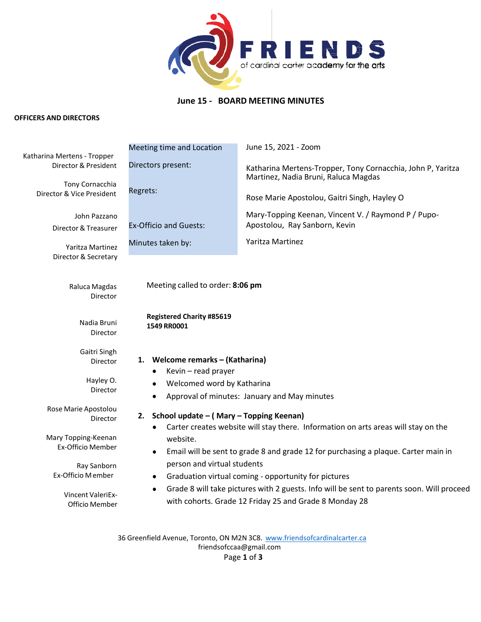

# **June 15 - BOARD MEETING MINUTES**

#### **OFFICERS AND DIRECTORS**

| Katharina Mertens - Tropper                                                  | Meeting time and Location                                                                                                                                                                                                             | June 15, 2021 - Zoom                                                                                |
|------------------------------------------------------------------------------|---------------------------------------------------------------------------------------------------------------------------------------------------------------------------------------------------------------------------------------|-----------------------------------------------------------------------------------------------------|
| Director & President                                                         | Directors present:                                                                                                                                                                                                                    | Katharina Mertens-Tropper, Tony Cornacchia, John P, Yaritza<br>Martinez, Nadia Bruni, Raluca Magdas |
| Tony Cornacchia<br>Director & Vice President                                 | Regrets:                                                                                                                                                                                                                              | Rose Marie Apostolou, Gaitri Singh, Hayley O                                                        |
| John Pazzano<br>Director & Treasurer                                         | <b>Ex-Officio and Guests:</b>                                                                                                                                                                                                         | Mary-Topping Keenan, Vincent V. / Raymond P / Pupo-<br>Apostolou, Ray Sanborn, Kevin                |
| Yaritza Martinez                                                             | Minutes taken by:                                                                                                                                                                                                                     | Yaritza Martinez                                                                                    |
| Director & Secretary<br>Raluca Magdas<br>Director                            | Meeting called to order: 8:06 pm                                                                                                                                                                                                      |                                                                                                     |
| Nadia Bruni<br>Director                                                      | <b>Registered Charity #85619</b><br>1549 RR0001                                                                                                                                                                                       |                                                                                                     |
| Gaitri Singh<br>Director                                                     | 1. Welcome remarks - (Katharina)<br>Kevin - read prayer                                                                                                                                                                               |                                                                                                     |
| Hayley O.<br>Director                                                        | Welcomed word by Katharina<br>٠<br>$\bullet$                                                                                                                                                                                          | Approval of minutes: January and May minutes                                                        |
| Rose Marie Apostolou<br>Director<br>Mary Topping-Keenan<br>Ex-Officio Member | School update - (Mary - Topping Keenan)<br>2.<br>Carter creates website will stay there. Information on arts areas will stay on the<br>٠<br>website.                                                                                  |                                                                                                     |
| Ray Sanborn<br>Ex-Officio Member                                             | Email will be sent to grade 8 and grade 12 for purchasing a plaque. Carter main in<br>٠<br>person and virtual students                                                                                                                |                                                                                                     |
| Vincent ValeriEx-<br>Officio Member                                          | Graduation virtual coming - opportunity for pictures<br>$\bullet$<br>Grade 8 will take pictures with 2 guests. Info will be sent to parents soon. Will proceed<br>$\bullet$<br>with cohorts. Grade 12 Friday 25 and Grade 8 Monday 28 |                                                                                                     |
|                                                                              |                                                                                                                                                                                                                                       |                                                                                                     |

36 Greenfield Avenue, Toronto, ON M2N 3C8. [www.friendsofcardinalcarter.ca](http://www.friendsofcardinalcarter.ca/) [friendsofccaa@gmail.com](mailto:friendsofccaa@gmail.com) Page **1** of **3**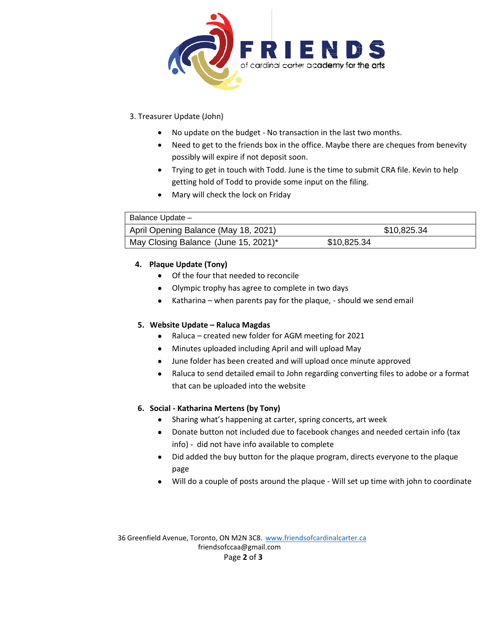

### 3. Treasurer Update (John)

- No update on the budget No transaction in the last two months.
- Need to get to the friends box in the office. Maybe there are cheques from benevity possibly will expire if not deposit soon.
- Trying to get in touch with Todd. June is the time to submit CRA file. Kevin to help getting hold of Todd to provide some input on the filing.
- Mary will check the lock on Friday

| Balance Update -                     |             |
|--------------------------------------|-------------|
| April Opening Balance (May 18, 2021) | \$10,825.34 |
| May Closing Balance (June 15, 2021)* | \$10,825.34 |

#### **4. Plaque Update (Tony)**

- Of the four that needed to reconcile
- Olympic trophy has agree to complete in two days
- Katharina when parents pay for the plaque, should we send email

#### **5. Website Update – Raluca Magdas**

- Raluca created new folder for AGM meeting for 2021
- Minutes uploaded including April and will upload May
- June folder has been created and will upload once minute approved
- Raluca to send detailed email to John regarding converting files to adobe or a format that can be uploaded into the website

#### **6. Social - Katharina Mertens (by Tony)**

- Sharing what's happening at carter, spring concerts, art week
- Donate button not included due to facebook changes and needed certain info (tax info) - did not have info available to complete
- Did added the buy button for the plaque program, directs everyone to the plaque page
- Will do a couple of posts around the plaque Will set up time with john to coordinate